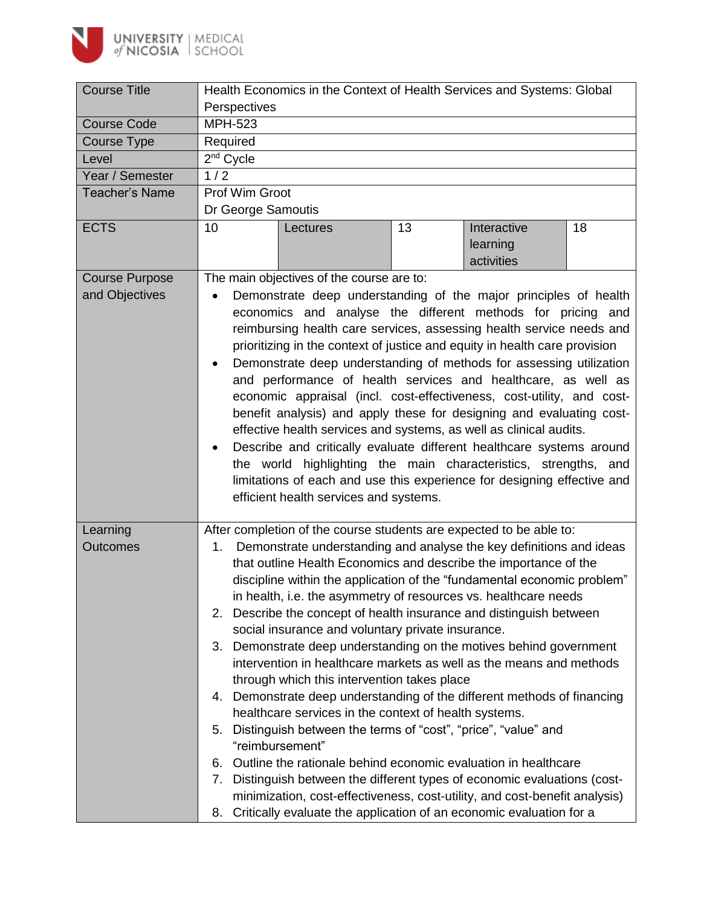

| <b>Course Title</b>                     | Health Economics in the Context of Health Services and Systems: Global                                                                                                                                                                                                                                                                                                                                                                                                                                                                                                                                                                                                                                                                                                                                                                                                                                                                                                                                                                                                                                                                                                                                                                   |  |  |  |
|-----------------------------------------|------------------------------------------------------------------------------------------------------------------------------------------------------------------------------------------------------------------------------------------------------------------------------------------------------------------------------------------------------------------------------------------------------------------------------------------------------------------------------------------------------------------------------------------------------------------------------------------------------------------------------------------------------------------------------------------------------------------------------------------------------------------------------------------------------------------------------------------------------------------------------------------------------------------------------------------------------------------------------------------------------------------------------------------------------------------------------------------------------------------------------------------------------------------------------------------------------------------------------------------|--|--|--|
|                                         | Perspectives                                                                                                                                                                                                                                                                                                                                                                                                                                                                                                                                                                                                                                                                                                                                                                                                                                                                                                                                                                                                                                                                                                                                                                                                                             |  |  |  |
| <b>Course Code</b>                      | <b>MPH-523</b>                                                                                                                                                                                                                                                                                                                                                                                                                                                                                                                                                                                                                                                                                                                                                                                                                                                                                                                                                                                                                                                                                                                                                                                                                           |  |  |  |
| Course Type                             | Required                                                                                                                                                                                                                                                                                                                                                                                                                                                                                                                                                                                                                                                                                                                                                                                                                                                                                                                                                                                                                                                                                                                                                                                                                                 |  |  |  |
| Level                                   | 2 <sup>nd</sup> Cycle                                                                                                                                                                                                                                                                                                                                                                                                                                                                                                                                                                                                                                                                                                                                                                                                                                                                                                                                                                                                                                                                                                                                                                                                                    |  |  |  |
| Year / Semester                         | 1/2                                                                                                                                                                                                                                                                                                                                                                                                                                                                                                                                                                                                                                                                                                                                                                                                                                                                                                                                                                                                                                                                                                                                                                                                                                      |  |  |  |
| <b>Teacher's Name</b>                   | Prof Wim Groot                                                                                                                                                                                                                                                                                                                                                                                                                                                                                                                                                                                                                                                                                                                                                                                                                                                                                                                                                                                                                                                                                                                                                                                                                           |  |  |  |
|                                         | Dr George Samoutis                                                                                                                                                                                                                                                                                                                                                                                                                                                                                                                                                                                                                                                                                                                                                                                                                                                                                                                                                                                                                                                                                                                                                                                                                       |  |  |  |
| <b>ECTS</b>                             | 10<br>Interactive<br>13<br>18<br>Lectures<br>learning<br>activities                                                                                                                                                                                                                                                                                                                                                                                                                                                                                                                                                                                                                                                                                                                                                                                                                                                                                                                                                                                                                                                                                                                                                                      |  |  |  |
| <b>Course Purpose</b><br>and Objectives | The main objectives of the course are to:<br>Demonstrate deep understanding of the major principles of health<br>economics and analyse the different methods for pricing and<br>reimbursing health care services, assessing health service needs and<br>prioritizing in the context of justice and equity in health care provision<br>Demonstrate deep understanding of methods for assessing utilization<br>and performance of health services and healthcare, as well as<br>economic appraisal (incl. cost-effectiveness, cost-utility, and cost-<br>benefit analysis) and apply these for designing and evaluating cost-<br>effective health services and systems, as well as clinical audits.<br>Describe and critically evaluate different healthcare systems around<br>the world highlighting the main characteristics, strengths, and<br>limitations of each and use this experience for designing effective and<br>efficient health services and systems.                                                                                                                                                                                                                                                                        |  |  |  |
| Learning<br><b>Outcomes</b>             | After completion of the course students are expected to be able to:<br>Demonstrate understanding and analyse the key definitions and ideas<br>1.<br>that outline Health Economics and describe the importance of the<br>discipline within the application of the "fundamental economic problem"<br>in health, i.e. the asymmetry of resources vs. healthcare needs<br>2. Describe the concept of health insurance and distinguish between<br>social insurance and voluntary private insurance.<br>3. Demonstrate deep understanding on the motives behind government<br>intervention in healthcare markets as well as the means and methods<br>through which this intervention takes place<br>4. Demonstrate deep understanding of the different methods of financing<br>healthcare services in the context of health systems.<br>5. Distinguish between the terms of "cost", "price", "value" and<br>"reimbursement"<br>Outline the rationale behind economic evaluation in healthcare<br>6.<br>Distinguish between the different types of economic evaluations (cost-<br>7.<br>minimization, cost-effectiveness, cost-utility, and cost-benefit analysis)<br>Critically evaluate the application of an economic evaluation for a<br>8. |  |  |  |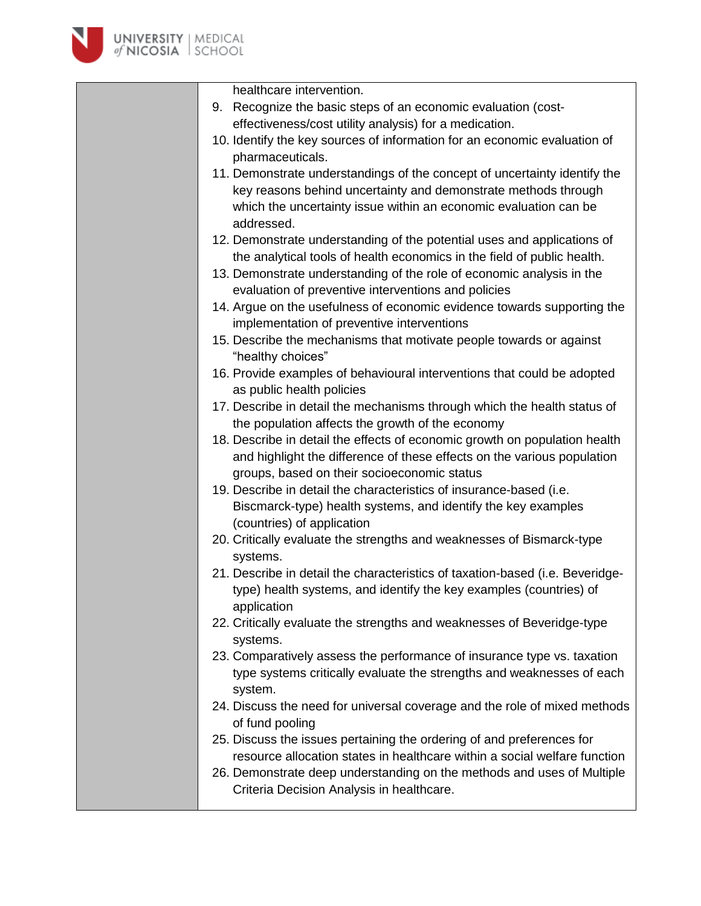

| healthcare intervention.                                                                                              |
|-----------------------------------------------------------------------------------------------------------------------|
| 9. Recognize the basic steps of an economic evaluation (cost-                                                         |
| effectiveness/cost utility analysis) for a medication.                                                                |
| 10. Identify the key sources of information for an economic evaluation of                                             |
| pharmaceuticals.                                                                                                      |
| 11. Demonstrate understandings of the concept of uncertainty identify the                                             |
| key reasons behind uncertainty and demonstrate methods through                                                        |
| which the uncertainty issue within an economic evaluation can be                                                      |
| addressed.                                                                                                            |
| 12. Demonstrate understanding of the potential uses and applications of                                               |
| the analytical tools of health economics in the field of public health.                                               |
| 13. Demonstrate understanding of the role of economic analysis in the                                                 |
| evaluation of preventive interventions and policies                                                                   |
| 14. Argue on the usefulness of economic evidence towards supporting the<br>implementation of preventive interventions |
| 15. Describe the mechanisms that motivate people towards or against                                                   |
| "healthy choices"                                                                                                     |
| 16. Provide examples of behavioural interventions that could be adopted                                               |
| as public health policies                                                                                             |
| 17. Describe in detail the mechanisms through which the health status of                                              |
| the population affects the growth of the economy                                                                      |
| 18. Describe in detail the effects of economic growth on population health                                            |
| and highlight the difference of these effects on the various population                                               |
| groups, based on their socioeconomic status                                                                           |
| 19. Describe in detail the characteristics of insurance-based (i.e.                                                   |
| Biscmarck-type) health systems, and identify the key examples                                                         |
| (countries) of application                                                                                            |
| 20. Critically evaluate the strengths and weaknesses of Bismarck-type                                                 |
| systems.                                                                                                              |
| 21. Describe in detail the characteristics of taxation-based (i.e. Beveridge-                                         |
| type) health systems, and identify the key examples (countries) of<br>application                                     |
| 22. Critically evaluate the strengths and weaknesses of Beveridge-type                                                |
| systems.                                                                                                              |
| 23. Comparatively assess the performance of insurance type vs. taxation                                               |
| type systems critically evaluate the strengths and weaknesses of each                                                 |
| system.                                                                                                               |
| 24. Discuss the need for universal coverage and the role of mixed methods                                             |
| of fund pooling                                                                                                       |
| 25. Discuss the issues pertaining the ordering of and preferences for                                                 |
| resource allocation states in healthcare within a social welfare function                                             |
| 26. Demonstrate deep understanding on the methods and uses of Multiple                                                |
| Criteria Decision Analysis in healthcare.                                                                             |
|                                                                                                                       |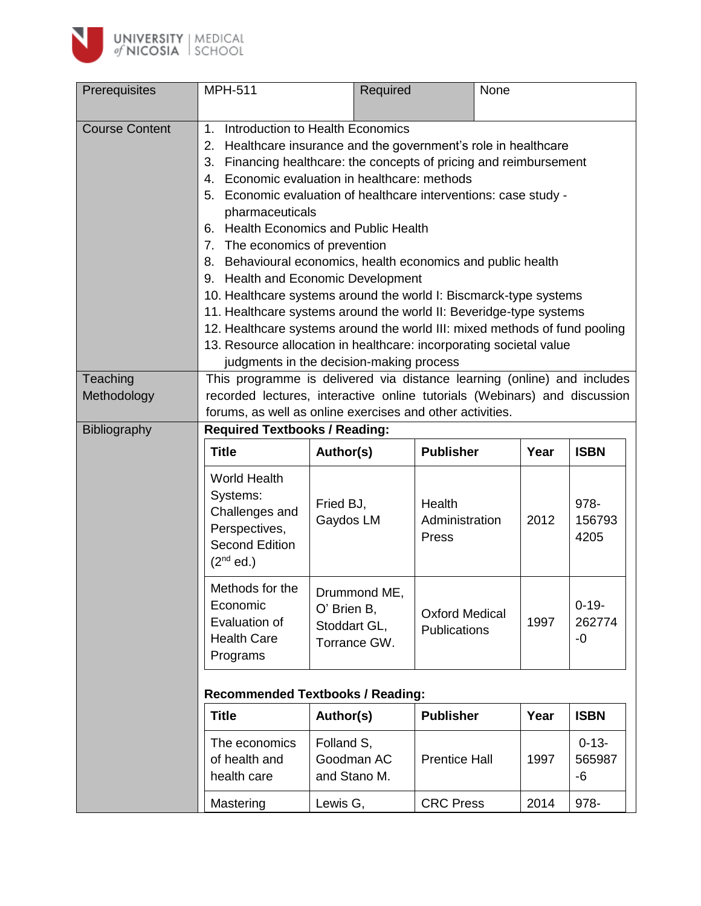

| Prerequisites           | <b>MPH-511</b>                                                                                                                                                                                                                                                                                                                                                                                                                                                                                                                                                                                                                                                                                                                                                                                                                                                            | Required                                                    |                                       | None |                            |
|-------------------------|---------------------------------------------------------------------------------------------------------------------------------------------------------------------------------------------------------------------------------------------------------------------------------------------------------------------------------------------------------------------------------------------------------------------------------------------------------------------------------------------------------------------------------------------------------------------------------------------------------------------------------------------------------------------------------------------------------------------------------------------------------------------------------------------------------------------------------------------------------------------------|-------------------------------------------------------------|---------------------------------------|------|----------------------------|
| <b>Course Content</b>   | Introduction to Health Economics<br>1 <sub>1</sub><br>Healthcare insurance and the government's role in healthcare<br>2.<br>Financing healthcare: the concepts of pricing and reimbursement<br>3.<br>Economic evaluation in healthcare: methods<br>4.<br>5. Economic evaluation of healthcare interventions: case study -<br>pharmaceuticals<br>6. Health Economics and Public Health<br>7. The economics of prevention<br>8. Behavioural economics, health economics and public health<br>9. Health and Economic Development<br>10. Healthcare systems around the world I: Biscmarck-type systems<br>11. Healthcare systems around the world II: Beveridge-type systems<br>12. Healthcare systems around the world III: mixed methods of fund pooling<br>13. Resource allocation in healthcare: incorporating societal value<br>judgments in the decision-making process |                                                             |                                       |      |                            |
| Teaching<br>Methodology | This programme is delivered via distance learning (online) and includes<br>recorded lectures, interactive online tutorials (Webinars) and discussion<br>forums, as well as online exercises and other activities.<br><b>Required Textbooks / Reading:</b>                                                                                                                                                                                                                                                                                                                                                                                                                                                                                                                                                                                                                 |                                                             |                                       |      |                            |
| <b>Bibliography</b>     | <b>Title</b>                                                                                                                                                                                                                                                                                                                                                                                                                                                                                                                                                                                                                                                                                                                                                                                                                                                              | Author(s)                                                   | <b>Publisher</b>                      | Year | <b>ISBN</b>                |
|                         | <b>World Health</b><br>Systems:<br>Challenges and<br>Perspectives,<br><b>Second Edition</b><br>$(2nd$ ed.)                                                                                                                                                                                                                                                                                                                                                                                                                                                                                                                                                                                                                                                                                                                                                                | Fried BJ,<br>Gaydos LM                                      | Health<br>Administration<br>Press     | 2012 | 978-<br>156793<br>4205     |
|                         | Methods for the<br>Economic<br>Evaluation of<br><b>Health Care</b><br>Programs                                                                                                                                                                                                                                                                                                                                                                                                                                                                                                                                                                                                                                                                                                                                                                                            | Drummond ME,<br>O' Brien B,<br>Stoddart GL,<br>Torrance GW. | <b>Oxford Medical</b><br>Publications | 1997 | $0 - 19 -$<br>262774<br>-0 |
|                         | <b>Recommended Textbooks / Reading:</b>                                                                                                                                                                                                                                                                                                                                                                                                                                                                                                                                                                                                                                                                                                                                                                                                                                   |                                                             |                                       |      |                            |
|                         | <b>Title</b>                                                                                                                                                                                                                                                                                                                                                                                                                                                                                                                                                                                                                                                                                                                                                                                                                                                              | Author(s)                                                   | <b>Publisher</b>                      | Year | <b>ISBN</b>                |
|                         | The economics<br>of health and<br>health care                                                                                                                                                                                                                                                                                                                                                                                                                                                                                                                                                                                                                                                                                                                                                                                                                             | Folland S,<br>Goodman AC<br>and Stano M.                    | <b>Prentice Hall</b>                  | 1997 | $0 - 13 -$<br>565987<br>-6 |
|                         | Mastering                                                                                                                                                                                                                                                                                                                                                                                                                                                                                                                                                                                                                                                                                                                                                                                                                                                                 | Lewis G,                                                    | <b>CRC Press</b>                      | 2014 | 978-                       |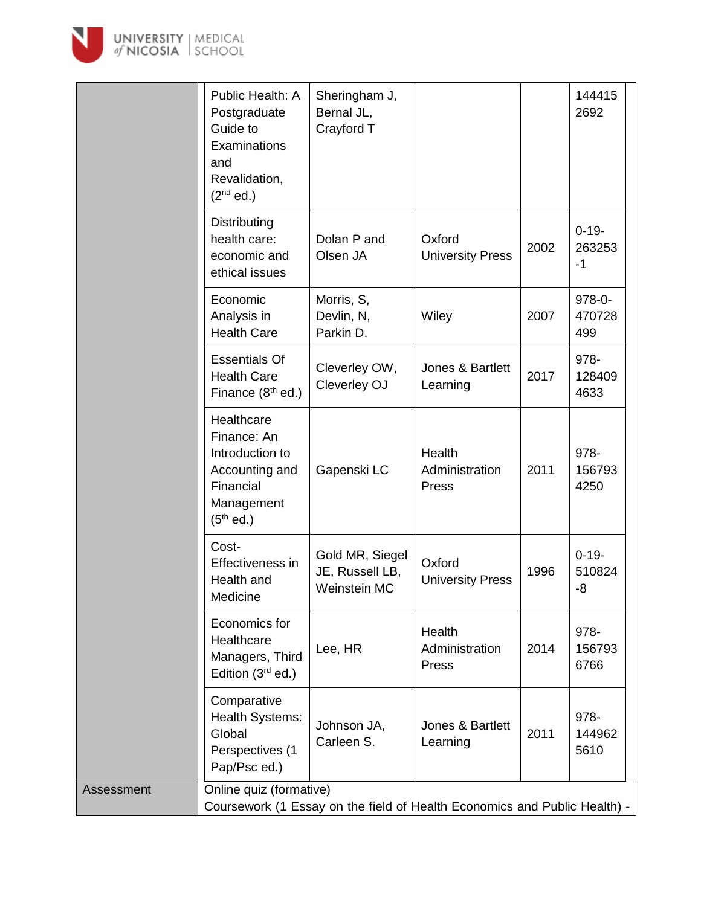

|            | Public Health: A<br>Postgraduate<br>Guide to<br>Examinations<br>and<br>Revalidation,<br>$(2nd$ ed.)      | Sheringham J,<br>Bernal JL,<br>Crayford T          |                                   |      | 144415<br>2692             |
|------------|----------------------------------------------------------------------------------------------------------|----------------------------------------------------|-----------------------------------|------|----------------------------|
|            | Distributing<br>health care:<br>economic and<br>ethical issues                                           | Dolan P and<br>Olsen JA                            | Oxford<br><b>University Press</b> | 2002 | $0 - 19 -$<br>263253<br>-1 |
|            | Economic<br>Analysis in<br><b>Health Care</b>                                                            | Morris, S,<br>Devlin, N,<br>Parkin D.              | Wiley                             | 2007 | 978-0-<br>470728<br>499    |
|            | <b>Essentials Of</b><br><b>Health Care</b><br>Finance (8 <sup>th</sup> ed.)                              | Cleverley OW,<br>Cleverley OJ                      | Jones & Bartlett<br>Learning      | 2017 | 978-<br>128409<br>4633     |
|            | Healthcare<br>Finance: An<br>Introduction to<br>Accounting and<br>Financial<br>Management<br>$(5th$ ed.) | Gapenski LC                                        | Health<br>Administration<br>Press | 2011 | 978-<br>156793<br>4250     |
|            | Cost-<br>Effectiveness in<br>Health and<br>Medicine                                                      | Gold MR, Siegel<br>JE, Russell LB,<br>Weinstein MC | Oxford<br><b>University Press</b> | 1996 | $0 - 19 -$<br>510824<br>-8 |
|            | Economics for<br>Healthcare<br>Managers, Third<br>Edition $(3rd$ ed.)                                    | Lee, HR                                            | Health<br>Administration<br>Press | 2014 | 978-<br>156793<br>6766     |
|            | Comparative<br>Health Systems:<br>Global<br>Perspectives (1<br>Pap/Psc ed.)                              | Johnson JA,<br>Carleen S.                          | Jones & Bartlett<br>Learning      | 2011 | 978-<br>144962<br>5610     |
| Assessment | Online quiz (formative)<br>Coursework (1 Essay on the field of Health Economics and Public Health) -     |                                                    |                                   |      |                            |